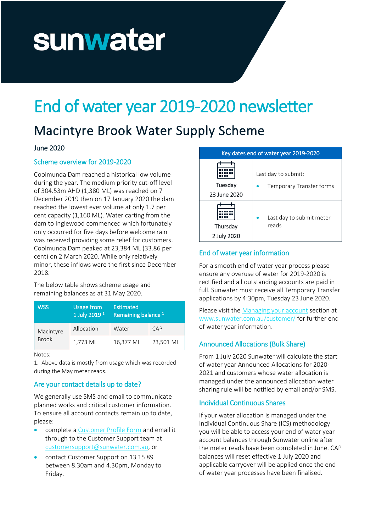# sunwater

## End of water year 2019-2020 newsletter

### Macintyre Brook Water Supply Scheme

#### June 2020

#### Scheme overview for 2019-2020

Coolmunda Dam reached a historical low volume during the year. The medium priority cut-off level of 304.53m AHD (1,380 ML) was reached on 7 December 2019 then on 17 January 2020 the dam reached the lowest ever volume at only 1.7 per cent capacity (1,160 ML). Water carting from the dam to Inglewood commenced which fortunately only occurred for five days before welcome rain was received providing some relief for customers. Coolmunda Dam peaked at 23,384 ML (33.86 per cent) on 2 March 2020. While only relatively minor, these inflows were the first since December 2018.

The below table shows scheme usage and remaining balances as at 31 May 2020.

| <b>WSS</b>                | <b>Usage from</b><br>1 July 2019 <sup>1</sup> | <b>Estimated</b><br>Remaining balance <sup>1</sup> |           |
|---------------------------|-----------------------------------------------|----------------------------------------------------|-----------|
| Macintyre<br><b>Brook</b> | Allocation                                    | Water                                              | CAP       |
|                           | 1,773 ML                                      | 16,377 ML                                          | 23,501 ML |

Notes:

1. Above data is mostly from usage which was recorded during the May meter reads.

#### Are your contact details up to date?

We generally use SMS and email to communicate planned works and critical customer information. To ensure all account contacts remain up to date, please:

- complete [a Customer Profile Form](https://www.sunwater.com.au/wp-content/uploads/Home/Customer/Forms/Customer_Profile_Form.pdf) and email it through to the Customer Support team at [customersupport@sunwater.com.au,](mailto:customersupport@sunwater.com.au) or
- contact Customer Support on 13 15 89 between 8.30am and 4.30pm, Monday to Friday.

| Key dates end of water year 2019-2020 |                          |  |
|---------------------------------------|--------------------------|--|
| Tuesday                               | Last day to submit:      |  |
| 23 June 2020                          | Temporary Transfer forms |  |
| Thursday                              | Last day to submit meter |  |
| 2 July 2020                           | reads                    |  |

#### End of water year information

For a smooth end of water year process please ensure any overuse of water for 2019-2020 is rectified and all outstanding accounts are paid in full. Sunwater must receive all Temporary Transfer applications by 4:30pm, Tuesday 23 June 2020.

Please visit th[e Managing your account](https://www.sunwater.com.au/customer/managing-your-account/) section at [www.sunwater.com.au/customer/](http://www.sunwater.com.au/customer/) for further end of water year information.

#### Announced Allocations (Bulk Share)

From 1 July 2020 Sunwater will calculate the start of water year Announced Allocations for 2020- 2021 and customers whose water allocation is managed under the announced allocation water sharing rule will be notified by email and/or SMS.

#### Individual Continuous Shares

If your water allocation is managed under the Individual Continuous Share (ICS) methodology you will be able to access your end of water year account balances through Sunwater online after the meter reads have been completed in June. CAP balances will reset effective 1 July 2020 and applicable carryover will be applied once the end of water year processes have been finalised.